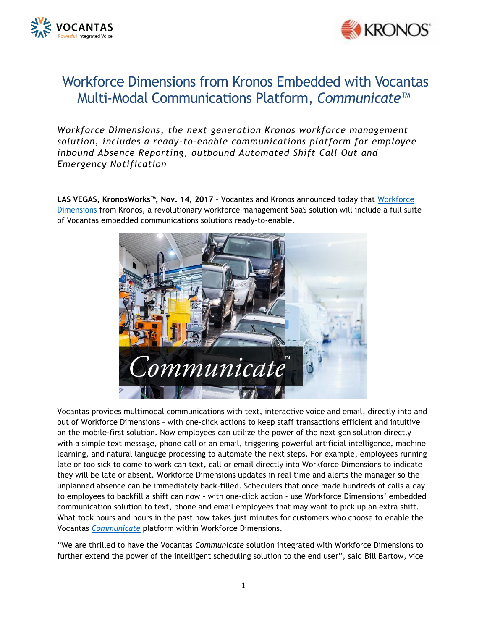



## Workforce Dimensions from Kronos Embedded with Vocantas Multi-Modal Communications Platform, *Communicate*™

*Workforce Dimensions, the next generation Kronos workforce management solution, includes a ready-to-enable communications platform for employee inbound Absence Reporting, outbound Automated Shift Call Out and Emergency Notification*

**LAS VEGAS, KronosWorks™, Nov. 14, 2017** – Vocantas and Kronos announced today that [Workforce](https://www.kronos.com/products/workforce-dimensions-suite)  [Dimensions](https://www.kronos.com/products/workforce-dimensions-suite) from Kronos, a revolutionary workforce management SaaS solution will include a full suite of Vocantas embedded communications solutions ready-to-enable.



Vocantas provides multimodal communications with text, interactive voice and email, directly into and out of Workforce Dimensions – with one-click actions to keep staff transactions efficient and intuitive on the mobile-first solution. Now employees can utilize the power of the next gen solution directly with a simple text message, phone call or an email, triggering powerful artificial intelligence, machine learning, and natural language processing to automate the next steps. For example, employees running late or too sick to come to work can text, call or email directly into Workforce Dimensions to indicate they will be late or absent. Workforce Dimensions updates in real time and alerts the manager so the unplanned absence can be immediately back-filled. Schedulers that once made hundreds of calls a day to employees to backfill a shift can now - with one-click action - use Workforce Dimensions' embedded communication solution to text, phone and email employees that may want to pick up an extra shift. What took hours and hours in the past now takes just minutes for customers who choose to enable the Vocantas *[Communicate](http://vocantas.com/communicate)* platform within Workforce Dimensions.

"We are thrilled to have the Vocantas *Communicate* solution integrated with Workforce Dimensions to further extend the power of the intelligent scheduling solution to the end user", said Bill Bartow, vice